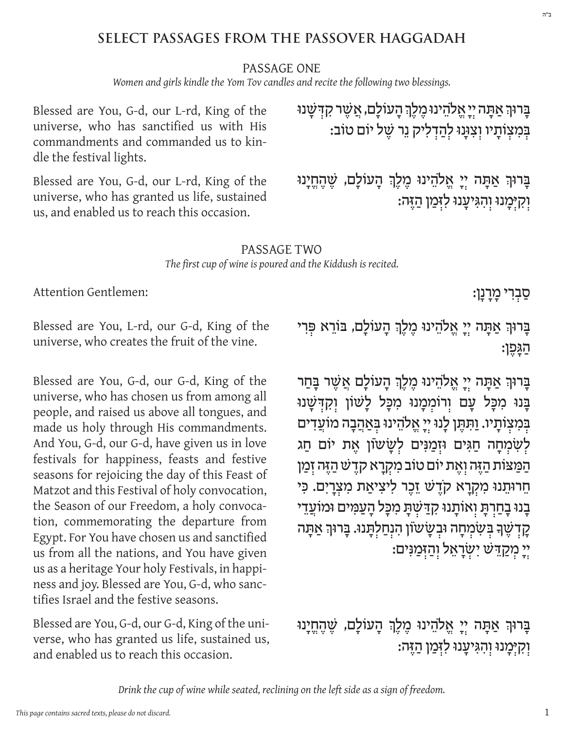## **SELECT PASSAGES FROM THE PASSOVER HAGGADAH**

#### PASSAGE ONE

*Women and girls kindle the Yom Tov candles and recite the following two blessings.*

Blessed are You, G‑d, our L‑rd, King of the universe, who has sanctified us with His commandments and commanded us to kindle the festival lights.

Blessed are You, G‑d, our L‑rd, King of the universe, who has granted us life, sustained us, and enabled us to reach this occasion.

ַ בָּרוּךְ אַתַּה יְיַ אֱלֹהֶינוּ מֶלֶךְ הַעוֹלַם, אֲשֶׁר קִדְּשַׁנוּ ְּב ְמִ צ ְ ֹותָ יו ו ְ צִ ּוָנּו ל ְהַ דלִ יק נֵ ר ׁשֶ ל יֹום טֹוב:

בָּרוּךְ אַתָּה יִיַ אֱלֹהֵינוּ מֶלֶךְ הָעוֹלָם, שֶׁהֶחֱיָנוּ וִקְיָּמָנוּ וְהָגִּיעֲנוּ לִזְּמַן הַזֶּה:

#### PASSAGE TWO *The first cup of wine is poured and the Kiddush is recited.*

Attention Gentlemen:

ּסַבִרִי מָרָנָן:

Blessed are You, L-rd, our G‑d, King of the universe, who creates the fruit of the vine.

Blessed are You, G‑d, our G‑d, King of the universe, who has chosen us from among all people, and raised us above all tongues, and made us holy through His commandments. And You, G‑d, our G‑d, have given us in love festivals for happiness, feasts and festive seasons for rejoicing the day of this Feast of Matzot and this Festival of holy convocation, the Season of our Freedom, a holy convocation, commemorating the departure from Egypt. For You have chosen us and sanctified us from all the nations, and You have given us as a heritage Your holy Festivals, in happiness and joy. Blessed are You, G‑d, who sanc‑ tifies Israel and the festive seasons.

Blessed are You, G-d, our G-d, King of the universe, who has granted us life, sustained us, and enabled us to reach this occasion.

ַ בְּרוּךְ אַתָּה יִי אֱלֹהֵינוּ מֶלֶךְ הָעוֹלָם, בּוֹרֵא פִּרִי הַ ּגָ פֶ ן:

ַ בְּרוּךְ אַתָּה יִיָ אֱלֹהֵינוּ מֶלֶךְ הָעוֹלָם אֲשֶׁר בְּחַר בָּנוּ מִכָּל עָם וִרוֹמִמַנוּ מִכַּל לַשׁוֹן וִקִדְּשַׁנוּ בְּמִצְוֹתַיו. וַתְּתֵן לָנוּ יְיַ אֱלֹהֵינוּ בְּאַהֲבָה מוֹעֲדִים לְשָׂמְחָה חַגִּים וּזְמַנִּים לְשָׂשׂוֹן אֶת יוֹם חַג הַמַּצּוֹת הַזֶּה וְאֵת יוֹם טוֹב מְקְרַא קדֵשׁ הַזֶּה זְמַן ּחֵרוּתֵנוּ מִקְרַא קֹדֵשׁ זֵכֶר לִיצִיאַת מִצְרַיִם. כִּי ָבָנוּ בָחַרִתָּ וְאוֹתָנוּ קִדַּשְׁתָּ מִכָּל הָעַמִּים וּמוֹעֲדֵי קַדְשֶׁךָ בְּשָׂמְחַה וּבְשַׂשֹוֹן הִנְחַלְתַּנוּ. בַּרוּךְ אַתַּה ְי ְ יָ מ ְ קַ ּדֵ ׁש יִ ׂש ְ רָ אֵ ל ו ְהַ ּזמַ ּנִ ים:

בְּרוּךְ אַתָּה יִיַ אֱלֹהֵינוּ מֵלֵךְ הַעוֹלַם, שֵׁהָחֵיַנוּ וְקִיָּמָנוּ וְהִגִּיעֲנוּ לִזְּמַן הַזֶּה: ב"ה

*Drink the cup of wine while seated, reclining on the left side as a sign of freedom.*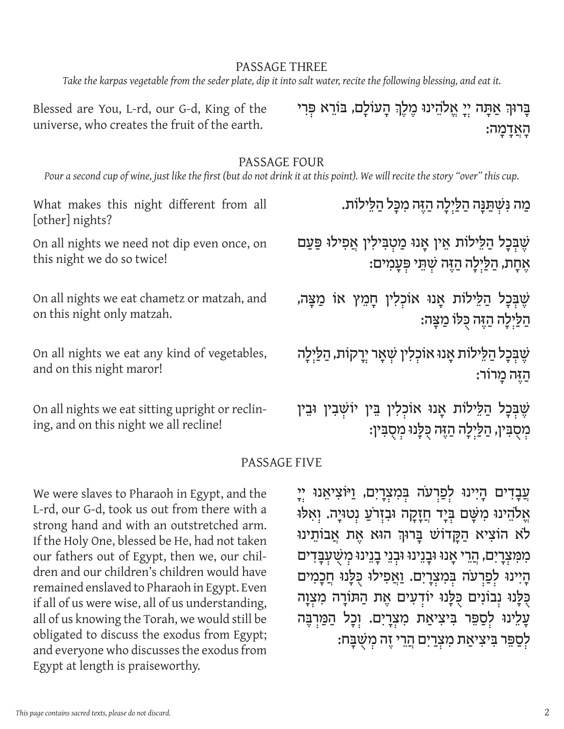#### PASSAGE THREE

*Take the karpas vegetable from the seder plate, dip it into salt water, recite the following blessing, and eat it.*

Blessed are You, L-rd, our G‑d, King of the universe, who creates the fruit of the earth.

ַ בְּרוּךְ אַתָּה יִי אֱלֹהֵינוּ מֶלֶךְ הָעוֹלָם, בּוֹרֵא פִּרִי הָ אֲ דָ מָ ה:

#### PASSAGE FOUR

*Pour a second cup of wine, just like the first (but do not drink it at this point). We will recite the story "over" this cup.*

What makes this night different from all [other] nights? On all nights we need not dip even once, on this night we do so twice! On all nights we eat chametz or matzah, and on this night only matzah. On all nights we eat any kind of vegetables, and on this night maror! On all nights we eat sitting upright or reclin-ְ מַ ה ּנִ ׁש ְ ּתַ ּנָ ה הַ ּלַ ילָ ה הַ ּזֶ ה מִ ּכָ ל הַ ּלֵ ילֹות. שֶׁבְּכַל הַלֵּילוֹת אֵין אַנוּ מַטִבִּילִין אֲפִילוּ פַּעַם ּאֶחָת, הַלַּיְלָה הַזֶּה שָׁתֵּי פִּעֲמִים: שֶׁבְּכָל הַלֵּילוֹת אָנוּ אוֹכְלִין חָמֵץ אוֹ מַצָּה, ְהַ ּלַ ילָ ה הַ ּזֶ ה ּכֻ ּלֹו מַ ּצָ ה: שֵׁבָּכַל הַלֵּילוֹת אַנוּ אוֹכִלִין שִׁאָר יְרָקוֹת, הַלַּיְלָה הַ ּזֶ ה מָ רֹור: שֶׁבָּכַל הַלֵּילוֹת אֲנוּ אוֹכִלְין בֵּין יוֹשָׁבִין וּבֵין

ing, and on this night we all recline!

מִסֻבִּין, הַלַּיְלָה הַזֶּה כְּלָנוּ מִסְבִּין:

#### PASSAGE FIVE

We were slaves to Pharaoh in Egypt, and the L-rd, our G‑d, took us out from there with a strong hand and with an outstretched arm. If the Holy One, blessed be He, had not taken our fathers out of Egypt, then we, our children and our children's children would have remained enslaved to Pharaoh in Egypt. Even if all of us were wise, all of us understanding, all of us knowing the Torah, we would still be obligated to discuss the exodus from Egypt; and everyone who discusses the exodus from Egypt at length is praiseworthy.

ְ עֲבָדִים הָיִינוּ לְפַרְעֹה בִּמְצְרָיִם, וַיּּוֹצִיאֵנוּ יִיָ ּאֱלֹהֵינוּ מִשָּׁם בְּיָד חֲזָקָה וּבִזְרֹעַ נִטוּיָה. וְאִלּוּ ֿלֹא הֹוֹצִיא הַקֲדוֹשׁ בַּרוּךְ הוּא אֶת אֲבוֹתֵינוּ מִמְצְרָיִם, הַרֵי אָנוּ וּבָנֵינוּ וּבְנֵי בָנֵינוּ מְשָׁעָבָדִים הַיִּינוּ לְפַרְעֹה בִּמְצְרַיִם. וַאֲפִילוּ כְּלֵנוּ חֲכָמִים כְּלָנוּ נְבוֹנִים כְּלָנוּ יוֹדְעִים אֶת הַתּוֹרָה מִצְוָה עַלֵינוּ לְסַפֵּר בִּיצִיאַת מִצְרָיִם. וְכָל הַמַּרְבֵּה לְסַפֵּר בִּיצִיאַת מִצְרַיִם הֲרֵי זֶה מִשָּׁבָּח: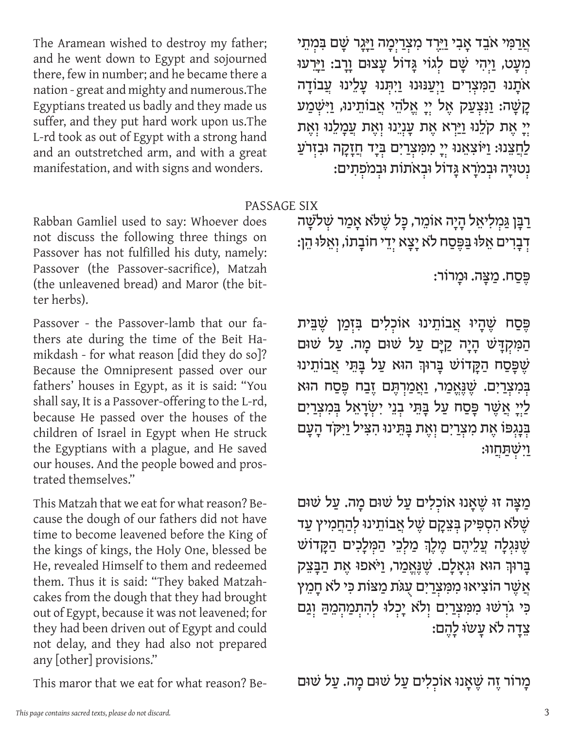אֲרַמִּי אֹבֵד אָבִי וַיֵּרֶד מִצְרַיִמָה וַיָּגָר שָׁם בִּמְתֵי מְעָט, וַיְהִי שָׁם לְגוֹי גָּדוֹל עַצוּם וַרַב: וַיַּרִעוּ אֹתָנוּ הַמִּצְרִים וַיְעַנּוּנוּ וַיִהְנוּ עָלֵינוּ עֲבוֹדָה קַ שָׁה: וַנִּצְעַק אֶל יְיָ אֱלֹהֵי אֲבוֹתֵינוּ, וַיִּשְׁמַע יִי אֶת קֹלֵנוּ וַיַּרָא אֶת עֲנְיֵנוּ וְאֶת עֲמָלֵנוּ וְאֶת לַחֲצֵנוּ: וַיּוֹצִאֵנוּ יְיָ מִמִּצְרַיִם בְּיָד חֲזָקָה וּבִזְרֹעַ **יְנְסוּיָה וּבְמֹרָא גַּדוֹל וּבְאֹתוֹת וּבְמֹפְתִים**:

#### PASSAGE SIX

Rabban Gamliel used to say: Whoever does not discuss the following three things on Passover has not fulfilled his duty, namely: Passover (the Passover-sacrifice), Matzah (the unleavened bread) and Maror (the bitter herbs).

The Aramean wished to destroy my father; and he went down to Egypt and sojourned there, few in number; and he became there a nation - great and mighty and numerous.The Egyptians treated us badly and they made us suffer, and they put hard work upon us.The L-rd took as out of Egypt with a strong hand and an outstretched arm, and with a great manifestation, and with signs and wonders.

Passover - the Passover-lamb that our fathers ate during the time of the Beit Hamikdash - for what reason [did they do so]? Because the Omnipresent passed over our fathers' houses in Egypt, as it is said: "You shall say, It is a Passover-offering to the L-rd, because He passed over the houses of the children of Israel in Egypt when He struck the Egyptians with a plague, and He saved our houses. And the people bowed and prostrated themselves."

This Matzah that we eat for what reason? Because the dough of our fathers did not have time to become leavened before the King of the kings of kings, the Holy One, blessed be He, revealed Himself to them and redeemed them. Thus it is said: "They baked Matzahcakes from the dough that they had brought out of Egypt, because it was not leavened; for they had been driven out of Egypt and could not delay, and they had also not prepared any [other] provisions."

This maror that we eat for what reason? Be-

ַרַבָּן גַּמְלִיאֵל הָיָה אוֹמֵר, כָּל שֶׁלֹּא אַמַר שִׁלֹשַׁה ּדְבָרִים אֵלּוּ בַּפֶּסַח לֹא יָצָא יְדֵי חוֹבָתוֹ, וְאֵלּוּ הֵן:

ּפֶ סַ ח. מַ ּצָ ה. ּומָ רֹור:

פֶּסַח שֶׁהָיוּ אֲבוֹתֵינוּ אוֹכְלִים בִּזְמַן שֵׁבֵּית הַמִּקְדָּשׁ הָיָה קַיָּם עַל שׁוּם מָה. עַל שׁוּם ׁשֶ ּפָ סַ ח הַ ּקָ דֹוׁש ּבָ רּוְך הּוא עַ ל ּבָ ּתֵ י אֲ בֹותֵ ינּו בִּמְצְרַיִם. שֶׁנֵאֱמַר, וַאֲמַרְתֵּם זֶבַח פֵּסַח הוּא לַיִי אֲשֶׁר פְּסַח עַל בָּתֵי בְנֵי יִשְׂרָאֵל בִּמִצְרַיִם בְּנָגְפּוֹ אֶת מְצְרַיִם וְאֶת בַּתֵּינוּ הִצִּיל וַיִּקֹד הַעֲם **וַיִּשְׁתַּחֲוּוּ**:

מַצָּה זוּ שֶׁאֲנוּ אוֹכְלִים עַל שׁוּם מַה. עַל שׁוּם ְ יָשֶׁלֹּא הִסְפִּיק בְּצֵקָם שֶׁל אֲבוֹתֵינוּ לְהַחֲמִיץ עַד שֶׁנִּגְלָה עֲלֵיהֶם מֶלֶךְ מַלִ*בִי* הַמְּלַכִים הַקַּדוֹשׁ ַ בְּרוּךְ הוּא וּגְאַלַם. שֶׁנֵאֲמַר, וַיֹּאפוּ אֶת הַבַּצֵק אֲשֶׁר הוֹצִיאוּ מִמְּצְרַיִם עָגֹּת מַצּוֹת כִּי לֹא חָמֵץ כִּי גֹרָשׁוּ מִמְצְרַיִם וְלֹא יָכְלוּ לְהָתְמַהְמֵהַ וְגַם צֵדַה לֹא עַשׂוּ לַהֵם:

ַמְרוֹר זֶה שֶׁאֲנוּ אוֹכְלִים עַל שׁוּם מַה. עַל שׁוּם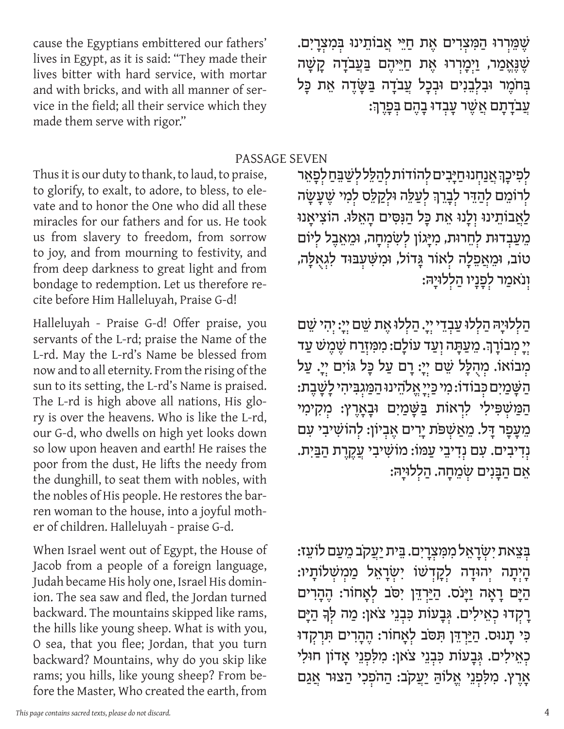ּשֶׁמֵרְרוּ הַמִּצְרִים אֶת חַיֵּי אֲבוֹתֵינוּ בִּמְצִרָיִם. ּשֶׁ וָ מֵמֵ מֵ מַיֵּיהֶ הַיֵּהֶ הַיֹּבֹדָה<br>שֶׁ גָּאֱמַר, וַיְמָרְרוּ אֶת חַיֵּיהֶם בַּעֲבֹדָה בְּחֹמֶר וּבְלְבֵנִים וּבְכָל עֲבֹדָה בַּשֲׂדֵה אֵת כַּל ִי עֲבֹדָתָם אֲשֶׁר עֲבִדוּ בָהֶם בִּפְרֶךְ:

PASSAGE SEVEN

Thus it is our duty to thank, to laud, to praise, to glorify, to exalt, to adore, to bless, to elevate and to honor the One who did all these miracles for our fathers and for us. He took us from slavery to freedom, from sorrow to joy, and from mourning to festivity, and from deep darkness to great light and from bondage to redemption. Let us therefore recite before Him Halleluyah, Praise G‑d!

cause the Egyptians embittered our fathers' lives in Egypt, as it is said: "They made their lives bitter with hard service, with mortar and with bricks, and with all manner of service in the field; all their service which they

made them serve with rigor."

Halleluyah - Praise G‑d! Offer praise, you servants of the L-rd; praise the Name of the L-rd. May the L-rd's Name be blessed from now and to all eternity. From the rising of the sun to its setting, the L-rd's Name is praised. The L-rd is high above all nations, His glory is over the heavens. Who is like the L-rd, our G‑d, who dwells on high yet looks down so low upon heaven and earth! He raises the poor from the dust, He lifts the needy from the dunghill, to seat them with nobles, with the nobles of His people. He restores the barren woman to the house, into a joyful mother of children. Halleluyah - praise G‑d.

When Israel went out of Egypt, the House of Jacob from a people of a foreign language, Judah became His holy one, Israel His dominion. The sea saw and fled, the Jordan turned backward. The mountains skipped like rams, the hills like young sheep. What is with you, O sea, that you flee; Jordan, that you turn backward? Mountains, why do you skip like rams; you hills, like young sheep? From before the Master, Who created the earth, from

לִפִיכָךְ אֲנַחְנוּחַיָּבִים לְהוֹדוֹת לְהַלֵּל לְשַׁבֵּחַ לְפָאֵר לְרוֹמֵם לְהַדֵּר לִבָרֵךְ לְעַלֵּה וּלְקַלֵּם לְמִי שֶׁעֲשָׂה לַאֲבוֹתֵינוּ וְלַנוּ אֶת כַּל הַנִּסִּים הַאֲלוּ. הוֹצִיאַנוּ מֵעַבְדוּת לְחֵרוּת, מִיָּגוֹן לְשָׂמִחָה, וּמֵאֵבֶל לִיּוֹם ְ טֹוֹב, וּמֵאֲפֵלַה לְאוֹר גַּדוֹל, וּמִשָּׁעָבּוּד לִגְאִלַּה, וְנֹאמַר לִפַנַיו הַלְלוּיַהּ:

ּהַלְלוּיָהּ הַלְלוּ עַבְדֵי יִיָ. הַלְלוּ אֶת שֵׁם יִיָ: יִהְי שֵׁם יִי מְבוֹרָךָ. מֵעַתָּה וְעַד עוֹלָם: מִמְזְרַח שֶׁמֶשׁ עַד מְבוֹאוֹ. מִהְלָּל שֵׁם יְיָ: רָם עַל כָּל גּוֹיִם יִיָ. עַל ּהַ שַּׁמַיִם כִּבוֹדוֹ: מִי כַּיִיַ אֱלֹהֵינוּ הַמַּגִבִּיהִי לָשָׁבֶת: הַמַּשְׁפִּילִי לִרְאוֹת בַּשַּׁמַיִם וּבַאֲרֶץ: מִקִימִי מֵעֲפָר דַל. מֵאַשָׁפֹּת יַרִים אֵבְיוֹן: לְהוֹשִׁיבִי עִם נְדִיבִים. עָם נְדִיבֵי עַמּוֹ: מוֹשִׁיבִי עֲקֶרֵת הַבַּיִת. אֵם הַבָּנִים שָׂמֵחָה. הַלְלוּיָהּ:

ִ בִּצֵאת יִשְׂרַאֵל מִמְצְרַיִם. בֵּית יַעֲקֹב מֵעַם לוֹעֵז: ְהָיָתָה יְהוּדָה לָקָדְשׁוֹ יְשָׂרָאֵל מַמְשָׁלוֹתָיו: הַיָּם רָאָה וַיָּנֹס. הַיַּרְדֵּן יִסֹב לְאָחוֹר: הֶהָרִים ַרְקְדוּ כְאֵילִים. גִּבָעוֹת כִּבְנֵי צֹאן: מַה לִּךְ הַיָּם ְ ּכִ י תָ נּוס. הַ ּיַ ר ְ ּדֵ ן ּתִ ּסֹב ל ְ אָ חֹור: הֶ הָ רִ ים ּתִ רְקדּו ּכְאֵילִים. גְּבַעוֹת כִּבְנֵי צֹאן: מִלְפְנֵי אֲדוֹן חוּלִי אָרֵץ. מִלְפְנֵי אֵלוֹהַ יַעֲקֹב: הַהֹפְכִי הַצוּר אֲגַם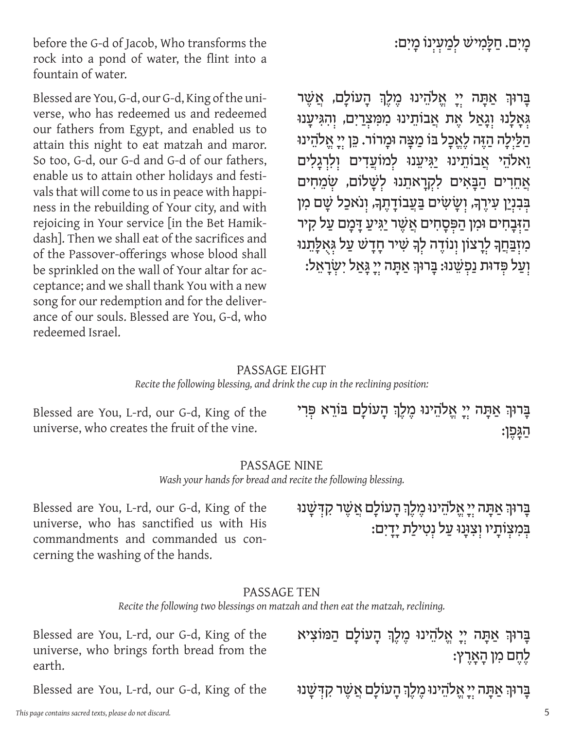מָיִם. חַלַּמִישׁ לִמַעִיִנוֹ מָיִם:

בְּרוּךְ אַתָּה יְיָ אֱלֹהֵינוּ מֵלֵךְ הַעוֹלַם, אֲשֵׁר **גְאָלָנוּ וְגָאַל אֶת אֲבוֹתֵינוּ מִמְּצְרַיִם, וְהָגִּיעֲנוּ** הַלַיִלָה הַזֶּה לֵאֱכָל בּוֹ מַצָּה וּמַרוֹר. כֵּן יִיָ אֱלֹהֵינוּ וֵ אלהֵי אֲבוֹתֵינוּ יַגִּיעֲנוּ לְמוֹעֲדִים וְלִרְגַלִים **אֲחֵרִים הַבָּאִים לִקְרַאתֵנוּ לְשַׁלוֹם, שִׂמֵחִים** בְּבְנְיַן עִירֶךְּ, וְשָׂשִׂים בַּעֲבוֹדָתֵךְּ, וְנֹאכַל שָׁם מִן הַ ּדָּבָהִים וּמִן הַפִּסָהִים אֲשֶׁר יַגִּיעַ דָּמָם עַל קִיר מִזְבַּחֵךְ לְרָצוֹן וְנוֹדֵה לְךָ שִׁיר חָדָשׁ עַל גִּאְלָתֵנוּ ּוְעַל פְּדוּת נַפְשֵׁנוּ: בַּרוּךְ אַתָּה יְיָ גַּאַל יְשָׂרָאֵל:

#### PASSAGE EIGHT

#### *Recite the following blessing, and drink the cup in the reclining position:*

Blessed are You, L-rd, our G‑d, King of the universe, who creates the fruit of the vine.

before the G‑d of Jacob, Who transforms the rock into a pond of water, the flint into a

Blessed are You, G-d, our G-d, King of the universe, who has redeemed us and redeemed our fathers from Egypt, and enabled us to attain this night to eat matzah and maror. So too, G‑d, our G‑d and G‑d of our fathers, enable us to attain other holidays and festivals that will come to us in peace with happiness in the rebuilding of Your city, and with rejoicing in Your service [in the Bet Hamikdash]. Then we shall eat of the sacrifices and of the Passover-offerings whose blood shall be sprinkled on the wall of Your altar for acceptance; and we shall thank You with a new song for our redemption and for the deliverance of our souls. Blessed are You, G‑d, who

fountain of water.

redeemed Israel.

ַ בְּרוּךְ אַתָּה יִיַ אֱלֹהֵינוּ מֶלֶךְ הַעוֹלַם בּוֹרֵא פִּרִי הַ ּגָ פֶ ן:

#### PASSAGE NINE

*Wash your hands for bread and recite the following blessing.*

Blessed are You, L-rd, our G‑d, King of the universe, who has sanctified us with His commandments and commanded us concerning the washing of the hands.

ַ בְּרוּךְ אַתָּה יִי אֱלֹהֵינוּ מֶלֶךְ הָעוֹלָם אֲשֶׁר קִדְּשָׁנוּ בְּמִצְוֹתַיו וְצִנְּנוּ עַל נְטִילַת יָדָיִם:

#### PASSAGE TEN

*Recite the following two blessings on matzah and then eat the matzah, reclining.*

Blessed are You, L-rd, our G‑d, King of the universe, who brings forth bread from the earth.

Blessed are You, L-rd, our G‑d, King of the

ְ ּבָ רּוְך אַ ּתָ ה ייָ אֱ ֹלהֵ ינּו מֶ לֶ ְך הָ עֹולָ ם הַ ּמֹוצִ יא לֶחֶם מִן הָאֲרֶץ:

ַ בְּרוּךְ אַתָּה יְיַ אֱלֹהֵינוּ מֶלֶךְ הָעוֹלָם אֲשֶׁר קִדְּשָׁנוּ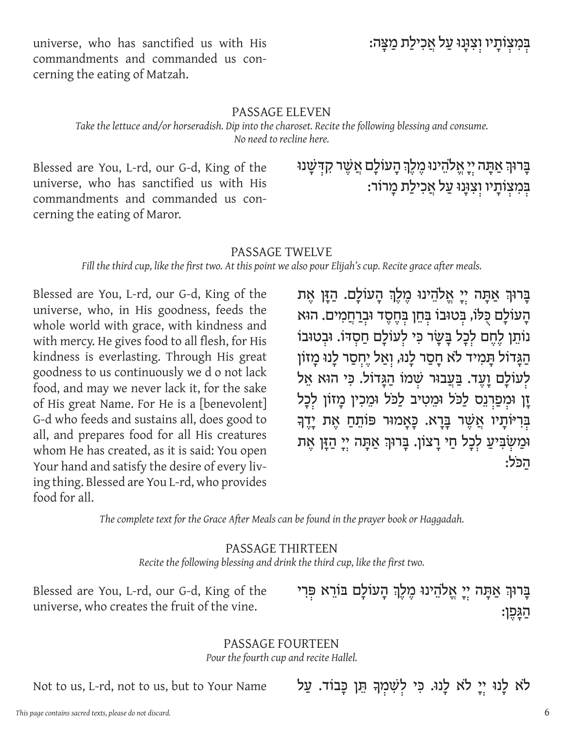בְּמִצְוֹתַיו וְצִוָּּנוּ עַל אֲכִילַת מַצַּה:

universe, who has sanctified us with His commandments and commanded us concerning the eating of Matzah.

#### PASSAGE ELEVEN

*Take the lettuce and/or horseradish. Dip into the charoset. Recite the following blessing and consume. No need to recline here.*

Blessed are You, L-rd, our G‑d, King of the universe, who has sanctified us with His commandments and commanded us con‑ cerning the eating of Maror.

# ַ בְּרוּךְ אַתָּה יִיַ אֱלֹהֵינוּ מֶלֶךְ הָעוֹלָם אֲשֶׁר קִדְּשָׁנוּ בְּמִצְוֹתַיו וְצִוּנוּ עַל אֲכִילַת מַרוֹר:

#### PASSAGE TWELVE

*Fill the third cup, like the first two. At this point we also pour Elijah's cup. Recite grace after meals.*

Blessed are You, L-rd, our G‑d, King of the universe, who, in His goodness, feeds the whole world with grace, with kindness and with mercy. He gives food to all flesh, for His kindness is everlasting. Through His great goodness to us continuously we d o not lack food, and may we never lack it, for the sake of His great Name. For He is a [benevolent] G‑d who feeds and sustains all, does good to all, and prepares food for all His creatures whom He has created, as it is said: You open Your hand and satisfy the desire of every living thing. Blessed are You L-rd, who provides food for all.

ַ בְּרוּךְ אַתָּה יִיַ אֱלֹהֵינוּ מֵלֵךְ הָעוֹלָם. הַזַּן אֶת הָעוֹלָם כְּלֹו, בְּטוּבוֹ בְּחֵן בְּחֶסֶד וּבְרַחֲמִים. הוּא נּוֹתֵן לֵחֵם לְכָל בַּשֵׂר כִּי לְעוֹלָם חַסְדּוֹ. וּבְטוּבוֹ הַגָּדוֹל תָמִיד לֹא חָסַר לָנוּ, וְאַל יֶחִסַר לָנוּ מָזוֹן לְעוֹלַם וַעֲד. בַּעֲבוּר שְׁמוֹ הַגַּדוֹל. כִּי הוּא אֵל ֿוַן וּמִפַרְנֵס לַכֹּל וּמֵטִיב לַכּל וּמֵכִין מָזוֹן לִכָל בְּרִיּוֹתֲיו אֲשֶׁר בַּרָא. כַּאֲמוּר פּוֹתֵחַ אֶת יַדֶךְ וּמַשְׂבִּיעַ לְכָל חַי רָצוֹן. בָּרוּךְ אַתָּה יִיָ הַזָּן אֶת הַ ּכֹל:

*The complete text for the Grace After Meals can be found in the prayer book or Haggadah.*

#### PASSAGE THIRTEEN *Recite the following blessing and drink the third cup, like the first two.*

Blessed are You, L-rd, our G‑d, King of the universe, who creates the fruit of the vine.

ַ בְּרוּךְ אֲתָה יִיַ אֱלֹהֵינוּ מֶלֶךְ הַעוֹלַם בּוֹרֵא פְּרִי הַ ּגָ פֶ ן:

### PASSAGE FOURTEEN

*Pour the fourth cup and recite Hallel.*

Not to us, L-rd, not to us, but to Your Name

לֹא לָנוּ יִי לֹא לָנוּ. כִּי לְשִׁמְךָ הֵן כַּבוֹד. עַל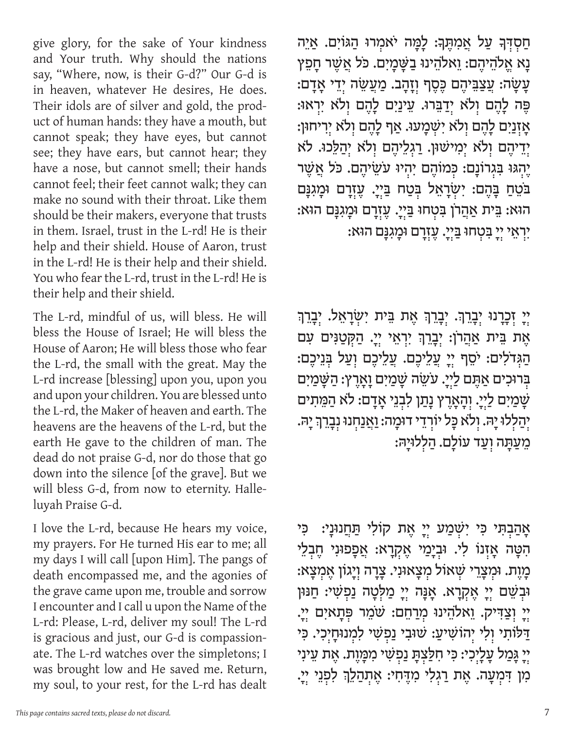give glory, for the sake of Your kindness and Your truth. Why should the nations say, "Where, now, is their G‑d?" Our G‑d is in heaven, whatever He desires, He does. Their idols are of silver and gold, the product of human hands: they have a mouth, but cannot speak; they have eyes, but cannot see; they have ears, but cannot hear; they have a nose, but cannot smell; their hands cannot feel; their feet cannot walk; they can make no sound with their throat. Like them should be their makers, everyone that trusts in them. Israel, trust in the L-rd! He is their help and their shield. House of Aaron, trust in the L-rd! He is their help and their shield. You who fear the L-rd, trust in the L-rd! He is their help and their shield.

The L-rd, mindful of us, will bless. He will bless the House of Israel; He will bless the House of Aaron; He will bless those who fear the L-rd, the small with the great. May the L-rd increase [blessing] upon you, upon you and upon your children. You are blessed unto the L-rd, the Maker of heaven and earth. The heavens are the heavens of the L-rd, but the earth He gave to the children of man. The dead do not praise G‑d, nor do those that go down into the silence [of the grave]. But we will bless G-d, from now to eternity. Halleluyah Praise G‑d.

I love the L-rd, because He hears my voice, my prayers. For He turned His ear to me; all my days I will call [upon Him]. The pangs of death encompassed me, and the agonies of the grave came upon me, trouble and sorrow I encounter and I call u upon the Name of the L-rd: Please, L-rd, deliver my soul! The L-rd is gracious and just, our G-d is compassionate. The L-rd watches over the simpletons; I was brought low and He saved me. Return, my soul, to your rest, for the L-rd has dealt

ְחַסְדְּךָ עַל אֲמִתֶּךְּ: לָמָּה יֹאמִרוּ הַגּוֹיִם. אַיֵּה נָ א אֱ ֹלהֵ יהֶ ם: וֵ אֹלהֵ ינּו בַ ּשָׁ מָ יִ ם. ּכֹל אֲ ׁשֶ ר חָ פֵ ץ : עֲשָׂה: עֲצַבֵּיהֶם כֶּסֶף וְזָהָב. מַעֲשֵׂה יְדֵי אָדָם ּפֶּה לָהֶם וְלֹא יִדַבֵּרוּ. עֵינַיִם לָהֶם וְלֹא יִרְאוּ: ּאָזְנַיִם לָהֶם וְלֹא יִשְׁמָעוּ. אַף לָהֶם וִלֹא יִרִיחוּן: יִ דֵיהֶם וְלֹא יִמְישׁוּן. רַגְלֵיהֶם וְלֹא יִהַלֵּכוּ. לֹא ְיֶ ה ְ ּגּו ּבִ ג ְ רֹונָ ם: ּכ ְ מֹוהֶ ם יִ היּו עֹׂשֵ יהֶ ם. ּכֹל אֲ ׁשֶ ר ַ בֹּטֵחַ בָּהֶם: יִשְׂרָאֵל בִּטַח בַּיִיָ. עֶזָרָם וּמָגִנָּם ְ הּוא: ּבֵ ית אַ הֲ רֹן ּבִ ט ְ חּו ּבַ י ְ יָ . עֶ זרָ ם ּומָ גִ ּנָ ם הּוא: ְיִ ר ְאֵ י י ְ יָ ּבִ ט ְ חּו ּבַ י ְ יָ . עֶ זרָ ם ּומָ גִ ּנָ ם הּוא:

יִי זְכָרָנוּ יְבָרֵךְ. יְבָרֵךְ אֶת בֵּית יִשְׂרָאֵל. יְבָרֵךְ ּאֶת בֵּית אַהֲרֹן: יִבָרֵךְ יִרְאֵי יִיָ. הַקְטַוִּים עִם הַגְּדֹלִים: יֹסֵף יְיָ עֲלֵיכֶם. עֲלֵיכֶם וְעַל בְּנֵיכֶם: בְּרוּכִים אַתֶּם לַיִיָ. עֹּשֵׂה שָׁמַיִם וָאָרֶץ: הַשָּׁמַיִם ְשָׁמַיִם לַיְיָ. וְהָאָרֵץ נָתַן לִבְנֵי אָדָם: לֹא הַמֵּתִים ְי ְהַ ל ְ לּו יָ ּה. ו ְ ֹלא ּכָ ל יֹור ְ דֵ י דּומָ ה: וַ אֲ נַ ח ְ נּו נבָ רֵ ְך יָ ּה. ְ מֵ עַ ּתָ ה ו ְ עַ ד עֹולָ ם. הַ ללּויָ ּה:

אָהַבְתִּי כִּי יִשְׁמַע יִיָ אֶת קוֹלִי תַּחֲנוּנָי: <sup>ּ</sup>כִּי הִטָּה אֲזְנוֹ לִי. וּבְיָמַי אֵקְרָא: אֲפָפוּנִי חֵבְלֵי ְ מָ וֶ ת. ּומ ְ צָ רֵ י ׁש ְ אֹול מ ְ צָ אּונִ י. צָ רָ ה ו ְ יָ גֹון אֶ מצָ א: וּבְשֵׁם יְיָ אֶקְרָא. אָנָּה יְיָ מַלְּטָה נַפְשִׁי: חַנּוּן ְיָ וְצַדִּיק. וֵאלֹהֵינוּ מִרַחֵם: שֹׁמֵר פְּתָאיִם יְיָ. ַ יַלֹּוֹתִי וְלִי יְהוֹשִׁיעַ: שׁוּבִי נַפְשִׁי לִמְנוּחֲיִכְי. כִּי ַיְיָ גָּכַוּל עֲלָיִכִי: כִּי חִלַּצְתָּ נַפִשְׁי מִכְּוֶת. אֶת עֵינִי ִמְ דִּמְעָה. אֶת רַגִלִי מִדֶּחִי: אֶתְהַלֵךְ לִפְנֵי יְיָ.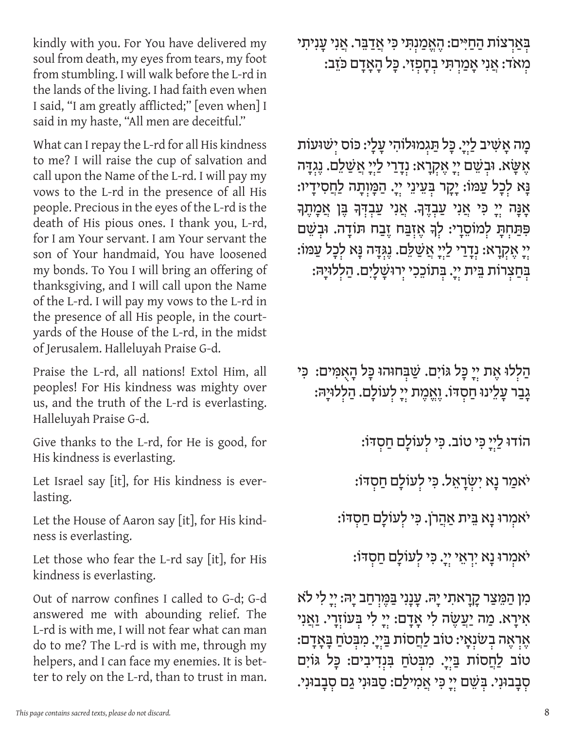kindly with you. For You have delivered my soul from death, my eyes from tears, my foot from stumbling. I will walk before the L-rd in the lands of the living. I had faith even when I said, "I am greatly afflicted;" [even when] I said in my haste, "All men are deceitful."

What can I repay the L-rd for all His kindness to me? I will raise the cup of salvation and call upon the Name of the L-rd. I will pay my vows to the L-rd in the presence of all His people. Precious in the eyes of the L-rd is the death of His pious ones. I thank you, L-rd, for I am Your servant. I am Your servant the son of Your handmaid, You have loosened my bonds. To You I will bring an offering of thanksgiving, and I will call upon the Name of the L-rd. I will pay my vows to the L-rd in the presence of all His people, in the courtyards of the House of the L-rd, in the midst of Jerusalem. Halleluyah Praise G‑d.

Praise the L-rd, all nations! Extol Him, all peoples! For His kindness was mighty over us, and the truth of the L-rd is everlasting. Halleluyah Praise G‑d.

Give thanks to the L-rd, for He is good, for His kindness is everlasting.

Let Israel say [it], for His kindness is everlasting.

Let the House of Aaron say [it], for His kindness is everlasting.

Let those who fear the L-rd say [it], for His kindness is everlasting.

Out of narrow confines I called to G‑d; G‑d answered me with abounding relief. The L-rd is with me, I will not fear what can man do to me? The L-rd is with me, through my helpers, and I can face my enemies. It is better to rely on the L-rd, than to trust in man. בְּאַרְצוֹת הַחַיִּים: הֶאֱמַנִתְי כִּי אֲדַבֵּר. אֲנִי עֲנִיתִי ְמ ְ אֹד: אֲ נִ י אָ מַ ר ְּתִ י ב ְחָ פזִ י. ּכָ ל הָ אָ דָ ם ּכֹזֵ ב:

מָה אַשִׁיב לַיְיָ. כַּל תַּגְמוּלוֹהִי עֲלָי: כּוֹס יִשׁוּעוֹת ְ אֶ ּשָׂ א. ּוב ְ ׁשֵ ם י ְ יָ אֶ ק ְ רָ א: נ ְ דָ רַ י לַ י ְ יָ אֲ ׁשַ לֵ ם. נֶ גּדָ ה וָא לִכָל עַמּוֹ: יָקָר בִּעֵינֵי יִיָ. הַמָּוִתָה לַחֲסִידָיו: אָנָּה יְיָ כִּי אֲנִי עַבְדֶךָ. אֲנִי עַבְדָּךָ בֶּן אֲמָתֵךָ פִּתַּחָתָ לְמוֹסֵרָי: לְךָ אֵזְבַּח זֵבַח תּוֹדָה. וּבִשֵׁם :יֵ אֶקְרָא: נִדָרַי לַיִי אֲשַׁלֵם. נֶגְּדָה נָּא לִכָל עַמּוֹ: ִבְּחַצְרוֹת בֵּית יִיָ. בְּתוֹכֵכִי יִרוּשָׁלָיִם. הַלְלוּיָהּ:

ּהַלְלוּ אֶת יִיָ כָּל גּוֹיִם. שַׁבְּחוּהוּ כָּל הָאָמִים: ۚכִּי גָבַר עָלֵינוּ חַסְדּוֹ. וֶאֱמֶת יִיַ לְעוֹלָם. הַלְלוּיָהּ:

ְ הֹודּו לַ י ְ יָ ּכִ י טֹוב. ּכִ י ל ְ עֹולָ ם חַ סּדֹו:

יֹאמַר נָא יִשְׂרָאֵל. כִּי לְעוֹלָם חַסְדֹו:

יֹאמִרוּ נָא בֵּית אַהֲרֹן. כִּי לְעוֹלָם חַסְדּוֹ:

יֹאמִרוּ נָא יִרְאֵי יִיָ. כִּי לְעוֹלָם חַסְדֹו:

ְ מִ ן הַ ּמֵ צַ ר קָ רָ אתִ י יָ ּה. עָ נָ נִ י ּבַ ּמֶ ר ְ חַ ב יָ ּה: ייָ לִ י ֹלא אִירַא. מַה יַעֲשֶׂה לִי אַדַם: יִיַ לִי בְּעוֹזְרַי. וַאֲנִי ּאֶרְאֶה בְשֹׁנְאָי: טֹוֹב לַחֲסׂוֹת בַּיִיָ. מִבְּטֹחַ בַּאָדָם: ְטֹוֹב לַחֲסוֹת בַּיְיָ. מִבְּטֹחַ בִּנְדִיבִים: כָּל גּוֹיִם ּ סְבַבוּנִי. בְּשֵׁם יְיַ כִּי אֲמִילַם: סַבּוּנִי גַם סִבֲבוּנִי.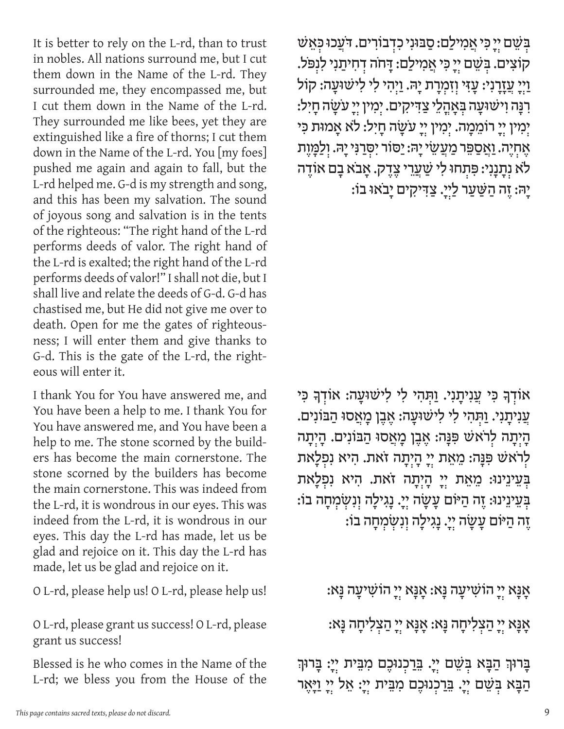It is better to rely on the L-rd, than to trust in nobles. All nations surround me, but I cut them down in the Name of the L-rd. They surrounded me, they encompassed me, but I cut them down in the Name of the L-rd. They surrounded me like bees, yet they are extinguished like a fire of thorns; I cut them down in the Name of the L-rd. You [my foes] pushed me again and again to fall, but the L-rd helped me. G-d is my strength and song, and this has been my salvation. The sound of joyous song and salvation is in the tents of the righteous: "The right hand of the L-rd performs deeds of valor. The right hand of the L-rd is exalted; the right hand of the L-rd performs deeds of valor!" I shall not die, but I shall live and relate the deeds of G‑d. G‑d has chastised me, but He did not give me over to death. Open for me the gates of righteousness; I will enter them and give thanks to G-d. This is the gate of the L-rd, the righteous will enter it.

I thank You for You have answered me, and You have been a help to me. I thank You for You have answered me, and You have been a help to me. The stone scorned by the builders has become the main cornerstone. The stone scorned by the builders has become the main cornerstone. This was indeed from the L-rd, it is wondrous in our eyes. This was indeed from the L-rd, it is wondrous in our eyes. This day the L-rd has made, let us be glad and rejoice on it. This day the L-rd has made, let us be glad and rejoice on it.

O L-rd, please help us! O L-rd, please help us!

O L-rd, please grant us success! O L-rd, please grant us success!

Blessed is he who comes in the Name of the L-rd; we bless you from the House of the ְּב ְׁשֵ ם י ְ יָ ּכִ י אֲ מִ ילַ ם: סַ ּבּונִ י כִ ד ְ בֹורִ ים. ּדֹעֲ כּו ּכאֵ ׁש קוֹצִים. בְּשֵׁם יִיָ כִּי אֲמִילַם: דָּחֹה דְחִיתַנִי לִנְפֹּל. וַיִי עֲזָרָנִי: עֲזִי וְזִמְרָת יָהּ. וַיִּהִי לִי לִישׁוּעָה: קוֹל ּרְנָּה וְישׁוּעָה בְּאָהֲלֵי צַדִּיקִים. יְמִין יִיָ עֹשֲׂה חָיִל: יִמִין יִי ְרוֹמֵכָּוּה. יְמִין יִיָ עֹשָׂה חָיִל: לֹא אָמוּת כִּי ּאֶחְיֶה. וַאֲסַפֵּר מַעֲשֵׂי יָהּ: יַסּוֹר יִסְרַנִּי יָהּ. וִלַמֲזֵת לֹא נְתָנָנִי: פִּתְחוּ לִי שַׁעֲרֵי צֶדֶק. אָבֹא בַם אוֹדֵה יָהּ: זֶה הַשַּׁעַר לַיְיָ. צַדִּיקִים יָבֹאוּ בוֹ:

אוֹדְךָ כִּי עֲנִיתָנִי. וַתְּהִי לִי לִישׁוּעָה: אוֹדְךָ כִּי ְעֲנִיתֲנִי. וַתְּהִי לִי לִישׁוּעֲה: אֵבֵן מָאֲסוּ הַבּוֹנִים. הָיָתָה לְרֹאשׁ פִּנָּה: אֶבֶן מָאֲסוּ הַבּוֹנִים. הָיִתָה לְרֹאֹשׁ פִּנָּה: מֵאֵת יְיָ הָיְתָה זֹאת. הִיא נִפְלַאת בְּעֵינֵינוּ: מֵאֵת יִי הָיִתָה זֹאת. הִיא נִפְלַאת : בְּעֵינֵינוּ: זֶה הַיּּוֹם עַשַׂה יִיַ. נַגְילַה וְנִשְׂמְחַה בוֹ ֶזֶה הַיּּוֹם עֲשָׂה יְיָ. נַגִילַה וְנִשְׂמְחָה בוֹ:

: אָנָא יִי הוֹשִׁיעָה נַא: אָנָא יִי הוֹשִׁיעָה נַא

ּנָא יְיָ הַצְלִיחָה נָּא: אָנָא יְיָ הַצְלִיחָה נָּא:

בָרוּךְ הַבָּא בְּשֵׁם יְיָ. <u>בִּר</u>כְנוּכֶם מִבֵּית יְיָ: בָּרוּךְ הַבָּא בִּשֵׁם יִיָ. בֵּרַכְנוּכֶם מִבֵּית יִיָ: אֵל יִיָ וַיָּאֶר